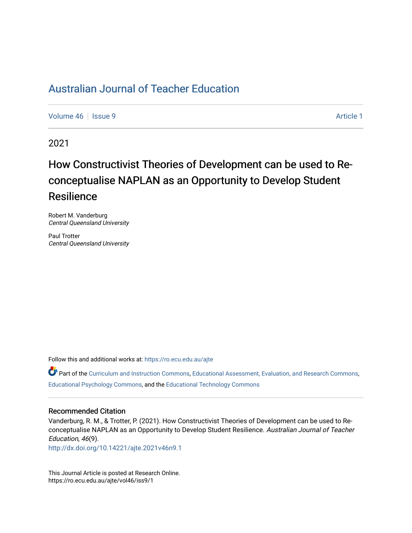# [Australian Journal of Teacher Education](https://ro.ecu.edu.au/ajte)

[Volume 46](https://ro.ecu.edu.au/ajte/vol46) | [Issue 9](https://ro.ecu.edu.au/ajte/vol46/iss9) Article 1

2021

# How Constructivist Theories of Development can be used to Reconceptualise NAPLAN as an Opportunity to Develop Student **Resilience**

Robert M. Vanderburg Central Queensland University

Paul Trotter Central Queensland University

Follow this and additional works at: [https://ro.ecu.edu.au/ajte](https://ro.ecu.edu.au/ajte?utm_source=ro.ecu.edu.au%2Fajte%2Fvol46%2Fiss9%2F1&utm_medium=PDF&utm_campaign=PDFCoverPages) 

Part of the [Curriculum and Instruction Commons,](http://network.bepress.com/hgg/discipline/786?utm_source=ro.ecu.edu.au%2Fajte%2Fvol46%2Fiss9%2F1&utm_medium=PDF&utm_campaign=PDFCoverPages) [Educational Assessment, Evaluation, and Research Commons](http://network.bepress.com/hgg/discipline/796?utm_source=ro.ecu.edu.au%2Fajte%2Fvol46%2Fiss9%2F1&utm_medium=PDF&utm_campaign=PDFCoverPages), [Educational Psychology Commons,](http://network.bepress.com/hgg/discipline/798?utm_source=ro.ecu.edu.au%2Fajte%2Fvol46%2Fiss9%2F1&utm_medium=PDF&utm_campaign=PDFCoverPages) and the [Educational Technology Commons](http://network.bepress.com/hgg/discipline/1415?utm_source=ro.ecu.edu.au%2Fajte%2Fvol46%2Fiss9%2F1&utm_medium=PDF&utm_campaign=PDFCoverPages) 

#### Recommended Citation

Vanderburg, R. M., & Trotter, P. (2021). How Constructivist Theories of Development can be used to Reconceptualise NAPLAN as an Opportunity to Develop Student Resilience. Australian Journal of Teacher Education, 46(9).

<http://dx.doi.org/10.14221/ajte.2021v46n9.1>

This Journal Article is posted at Research Online. https://ro.ecu.edu.au/ajte/vol46/iss9/1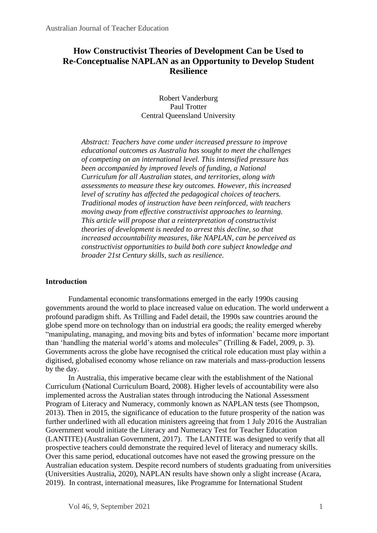# **How Constructivist Theories of Development Can be Used to Re-Conceptualise NAPLAN as an Opportunity to Develop Student Resilience**

Robert Vanderburg Paul Trotter Central Queensland University

*Abstract: Teachers have come under increased pressure to improve educational outcomes as Australia has sought to meet the challenges of competing on an international level. This intensified pressure has been accompanied by improved levels of funding, a National Curriculum for all Australian states, and territories, along with assessments to measure these key outcomes. However, this increased level of scrutiny has affected the pedagogical choices of teachers. Traditional modes of instruction have been reinforced, with teachers moving away from effective constructivist approaches to learning. This article will propose that a reinterpretation of constructivist theories of development is needed to arrest this decline, so that increased accountability measures, like NAPLAN, can be perceived as constructivist opportunities to build both core subject knowledge and broader 21st Century skills, such as resilience.*

## **Introduction**

Fundamental economic transformations emerged in the early 1990s causing governments around the world to place increased value on education. The world underwent a profound paradigm shift. As Trilling and Fadel detail, the 1990s saw countries around the globe spend more on technology than on industrial era goods; the reality emerged whereby "manipulating, managing, and moving bits and bytes of information' became more important than 'handling the material world's atoms and molecules" (Trilling & Fadel, 2009, p. 3). Governments across the globe have recognised the critical role education must play within a digitised, globalised economy whose reliance on raw materials and mass-production lessens by the day.

In Australia, this imperative became clear with the establishment of the National Curriculum (National Curriculum Board, 2008). Higher levels of accountability were also implemented across the Australian states through introducing the National Assessment Program of Literacy and Numeracy, commonly known as NAPLAN tests (see Thompson, 2013). Then in 2015, the significance of education to the future prosperity of the nation was further underlined with all education ministers agreeing that from 1 July 2016 the Australian Government would initiate the Literacy and Numeracy Test for Teacher Education (LANTITE) (Australian Government, 2017). The LANTITE was designed to verify that all prospective teachers could demonstrate the required level of literacy and numeracy skills. Over this same period, educational outcomes have not eased the growing pressure on the Australian education system. Despite record numbers of students graduating from universities (Universities Australia, 2020), NAPLAN results have shown only a slight increase (Acara, 2019). In contrast, international measures, like Programme for International Student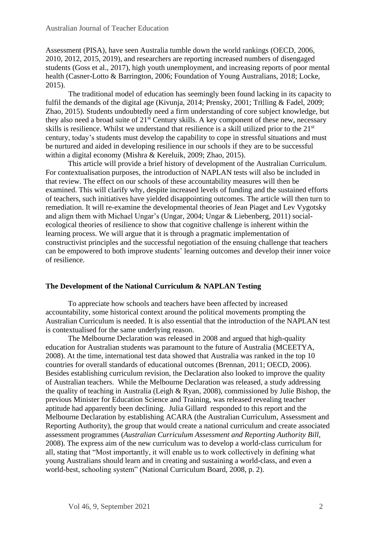Assessment (PISA), have seen Australia tumble down the world rankings (OECD, 2006, 2010, 2012, 2015, 2019), and researchers are reporting increased numbers of disengaged students (Goss et al., 2017), high youth unemployment, and increasing reports of poor mental health (Casner-Lotto & Barrington, 2006; Foundation of Young Australians, 2018; Locke, 2015).

The traditional model of education has seemingly been found lacking in its capacity to fulfil the demands of the digital age (Kivunia, 2014; Prensky, 2001; Trilling & Fadel, 2009; Zhao, 2015). Students undoubtedly need a firm understanding of core subject knowledge, but they also need a broad suite of 21<sup>st</sup> Century skills. A key component of these new, necessary skills is resilience. Whilst we understand that resilience is a skill utilized prior to the 21<sup>st</sup> century, today's students must develop the capability to cope in stressful situations and must be nurtured and aided in developing resilience in our schools if they are to be successful within a digital economy (Mishra & Kereluik, 2009; Zhao, 2015).

This article will provide a brief history of development of the Australian Curriculum. For contextualisation purposes, the introduction of NAPLAN tests will also be included in that review. The effect on our schools of these accountability measures will then be examined. This will clarify why, despite increased levels of funding and the sustained efforts of teachers, such initiatives have yielded disappointing outcomes. The article will then turn to remediation. It will re-examine the developmental theories of Jean Piaget and Lev Vygotsky and align them with Michael Ungar's (Ungar, 2004; Ungar & Liebenberg, 2011) socialecological theories of resilience to show that cognitive challenge is inherent within the learning process. We will argue that it is through a pragmatic implementation of constructivist principles and the successful negotiation of the ensuing challenge that teachers can be empowered to both improve students' learning outcomes and develop their inner voice of resilience.

## **The Development of the National Curriculum & NAPLAN Testing**

To appreciate how schools and teachers have been affected by increased accountability, some historical context around the political movements prompting the Australian Curriculum is needed. It is also essential that the introduction of the NAPLAN test is contextualised for the same underlying reason.

The Melbourne Declaration was released in 2008 and argued that high-quality education for Australian students was paramount to the future of Australia (MCEETYA, 2008). At the time, international test data showed that Australia was ranked in the top 10 countries for overall standards of educational outcomes (Brennan, 2011; OECD, 2006). Besides establishing curriculum revision, the Declaration also looked to improve the quality of Australian teachers. While the Melbourne Declaration was released, a study addressing the quality of teaching in Australia (Leigh & Ryan, 2008), commissioned by Julie Bishop, the previous Minister for Education Science and Training, was released revealing teacher aptitude had apparently been declining. Julia Gillard responded to this report and the Melbourne Declaration by establishing ACARA (the Australian Curriculum, Assessment and Reporting Authority), the group that would create a national curriculum and create associated assessment programmes (*Australian Curriculum Assessment and Reporting Authority Bill*, 2008). The express aim of the new curriculum was to develop a world-class curriculum for all, stating that "Most importantly, it will enable us to work collectively in defining what young Australians should learn and in creating and sustaining a world-class, and even a world-best, schooling system" (National Curriculum Board, 2008, p. 2).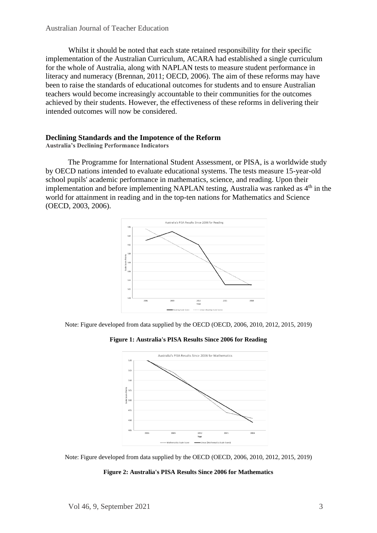Whilst it should be noted that each state retained responsibility for their specific implementation of the Australian Curriculum, ACARA had established a single curriculum for the whole of Australia, along with NAPLAN tests to measure student performance in literacy and numeracy (Brennan, 2011; OECD, 2006). The aim of these reforms may have been to raise the standards of educational outcomes for students and to ensure Australian teachers would become increasingly accountable to their communities for the outcomes achieved by their students. However, the effectiveness of these reforms in delivering their intended outcomes will now be considered.

## **Declining Standards and the Impotence of the Reform**

**Australia's Declining Performance Indicators**

The Programme for International Student Assessment, or PISA, is a worldwide study by OECD nations intended to evaluate educational systems. The tests measure 15-year-old school pupils' academic performance in mathematics, science, and reading. Upon their implementation and before implementing NAPLAN testing, Australia was ranked as  $4<sup>th</sup>$  in the world for attainment in reading and in the top-ten nations for Mathematics and Science (OECD, 2003, 2006).



Note: Figure developed from data supplied by the OECD (OECD, 2006, 2010, 2012, 2015, 2019)

**Figure 1: Australia's PISA Results Since 2006 for Reading**





#### **Figure 2: Australia's PISA Results Since 2006 for Mathematics**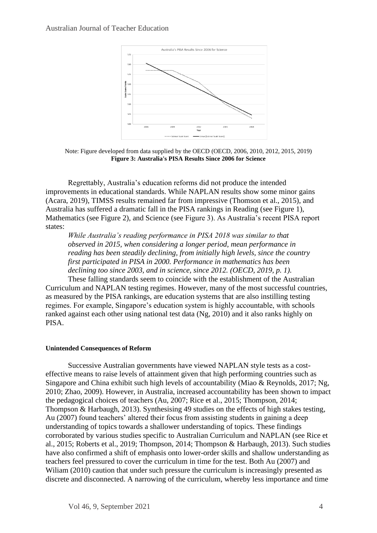

Note: Figure developed from data supplied by the OECD (OECD, 2006, 2010, 2012, 2015, 2019) **Figure 3: Australia's PISA Results Since 2006 for Science**

Regrettably, Australia's education reforms did not produce the intended improvements in educational standards. While NAPLAN results show some minor gains (Acara, 2019), TIMSS results remained far from impressive (Thomson et al., 2015), and Australia has suffered a dramatic fall in the PISA rankings in Reading (see Figure 1), Mathematics (see Figure 2), and Science (see Figure 3). As Australia's recent PISA report states:

*While Australia's reading performance in PISA 2018 was similar to that observed in 2015, when considering a longer period, mean performance in reading has been steadily declining, from initially high levels, since the country first participated in PISA in 2000. Performance in mathematics has been declining too since 2003, and in science, since 2012. (OECD, 2019, p. 1).*

These falling standards seem to coincide with the establishment of the Australian Curriculum and NAPLAN testing regimes. However, many of the most successful countries, as measured by the PISA rankings, are education systems that are also instilling testing regimes. For example, Singapore's education system is highly accountable, with schools ranked against each other using national test data (Ng, 2010) and it also ranks highly on PISA.

#### **Unintended Consequences of Reform**

Successive Australian governments have viewed NAPLAN style tests as a costeffective means to raise levels of attainment given that high performing countries such as Singapore and China exhibit such high levels of accountability (Miao & Reynolds, 2017; Ng, 2010; Zhao, 2009). However, in Australia, increased accountability has been shown to impact the pedagogical choices of teachers (Au, 2007; Rice et al., 2015; Thompson, 2014; Thompson & Harbaugh, 2013). Synthesising 49 studies on the effects of high stakes testing, Au (2007) found teachers' altered their focus from assisting students in gaining a deep understanding of topics towards a shallower understanding of topics. These findings corroborated by various studies specific to Australian Curriculum and NAPLAN (see Rice et al., 2015; Roberts et al., 2019; Thompson, 2014; Thompson & Harbaugh, 2013). Such studies have also confirmed a shift of emphasis onto lower-order skills and shallow understanding as teachers feel pressured to cover the curriculum in time for the test. Both Au (2007) and William (2010) caution that under such pressure the curriculum is increasingly presented as discrete and disconnected. A narrowing of the curriculum, whereby less importance and time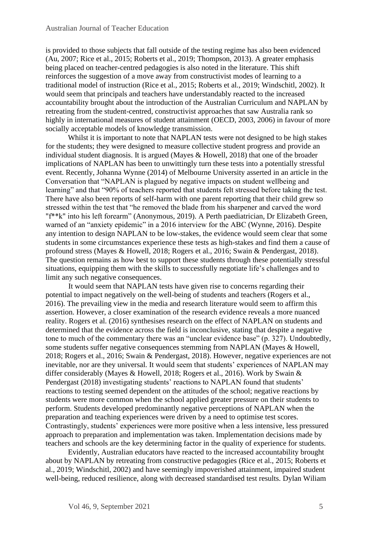is provided to those subjects that fall outside of the testing regime has also been evidenced (Au, 2007; Rice et al., 2015; Roberts et al., 2019; Thompson, 2013). A greater emphasis being placed on teacher-centred pedagogies is also noted in the literature. This shift reinforces the suggestion of a move away from constructivist modes of learning to a traditional model of instruction (Rice et al., 2015; Roberts et al., 2019; Windschitl, 2002). It would seem that principals and teachers have understandably reacted to the increased accountability brought about the introduction of the Australian Curriculum and NAPLAN by retreating from the student-centred, constructivist approaches that saw Australia rank so highly in international measures of student attainment (OECD, 2003, 2006) in favour of more socially acceptable models of knowledge transmission.

Whilst it is important to note that NAPLAN tests were not designed to be high stakes for the students; they were designed to measure collective student progress and provide an individual student diagnosis. It is argued (Mayes & Howell, 2018) that one of the broader implications of NAPLAN has been to unwittingly turn these tests into a potentially stressful event. Recently, Johanna Wynne (2014) of Melbourne University asserted in an article in the Conversation that "NAPLAN is plagued by negative impacts on student wellbeing and learning" and that "90% of teachers reported that students felt stressed before taking the test. There have also been reports of self-harm with one parent reporting that their child grew so stressed within the test that "he removed the blade from his sharpener and carved the word "f\*\*k" into his left forearm" (Anonymous, 2019). A Perth paediatrician, Dr Elizabeth Green, warned of an "anxiety epidemic" in a 2016 interview for the ABC (Wynne, 2016). Despite any intention to design NAPLAN to be low-stakes, the evidence would seem clear that some students in some circumstances experience these tests as high-stakes and find them a cause of profound stress (Mayes & Howell, 2018; Rogers et al., 2016; Swain & Pendergast, 2018). The question remains as how best to support these students through these potentially stressful situations, equipping them with the skills to successfully negotiate life's challenges and to limit any such negative consequences.

It would seem that NAPLAN tests have given rise to concerns regarding their potential to impact negatively on the well-being of students and teachers (Rogers et al., 2016). The prevailing view in the media and research literature would seem to affirm this assertion. However, a closer examination of the research evidence reveals a more nuanced reality. Rogers et al. (2016) synthesises research on the effect of NAPLAN on students and determined that the evidence across the field is inconclusive, stating that despite a negative tone to much of the commentary there was an "unclear evidence base" (p. 327). Undoubtedly, some students suffer negative consequences stemming from NAPLAN (Mayes & Howell, 2018; Rogers et al., 2016; Swain & Pendergast, 2018). However, negative experiences are not inevitable, nor are they universal. It would seem that students' experiences of NAPLAN may differ considerably (Mayes & Howell, 2018; Rogers et al., 2016). Work by Swain & Pendergast (2018) investigating students' reactions to NAPLAN found that students' reactions to testing seemed dependent on the attitudes of the school; negative reactions by students were more common when the school applied greater pressure on their students to perform. Students developed predominantly negative perceptions of NAPLAN when the preparation and teaching experiences were driven by a need to optimise test scores. Contrastingly, students' experiences were more positive when a less intensive, less pressured approach to preparation and implementation was taken. Implementation decisions made by teachers and schools are the key determining factor in the quality of experience for students.

Evidently, Australian educators have reacted to the increased accountability brought about by NAPLAN by retreating from constructive pedagogies (Rice et al., 2015; Roberts et al., 2019; Windschitl, 2002) and have seemingly impoverished attainment, impaired student well-being, reduced resilience, along with decreased standardised test results. Dylan Wiliam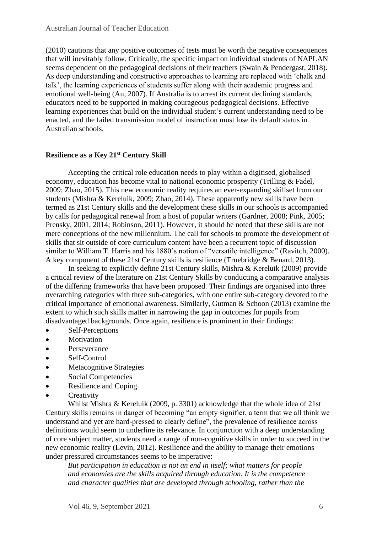(2010) cautions that any positive outcomes of tests must be worth the negative consequences that will inevitably follow. Critically, the specific impact on individual students of NAPLAN seems dependent on the pedagogical decisions of their teachers (Swain & Pendergast, 2018). As deep understanding and constructive approaches to learning are replaced with 'chalk and talk', the learning experiences of students suffer along with their academic progress and emotional well-being (Au, 2007). If Australia is to arrest its current declining standards, educators need to be supported in making courageous pedagogical decisions. Effective learning experiences that build on the individual student's current understanding need to be enacted, and the failed transmission model of instruction must lose its default status in Australian schools.

# **Resilience as a Key 21st Century Skill**

Accepting the critical role education needs to play within a digitised, globalised economy, education has become vital to national economic prosperity (Trilling & Fadel, 2009; Zhao, 2015). This new economic reality requires an ever-expanding skillset from our students (Mishra & Kereluik, 2009; Zhao, 2014). These apparently new skills have been termed as 21st Century skills and the development these skills in our schools is accompanied by calls for pedagogical renewal from a host of popular writers (Gardner, 2008; Pink, 2005; Prensky, 2001, 2014; Robinson, 2011). However, it should be noted that these skills are not mere conceptions of the new millennium. The call for schools to promote the development of skills that sit outside of core curriculum content have been a recurrent topic of discussion similar to William T. Harris and his 1880's notion of "versatile intelligence" (Ravitch, 2000). A key component of these 21st Century skills is resilience (Truebridge & Benard, 2013).

In seeking to explicitly define 21st Century skills, Mishra & Kereluik (2009) provide a critical review of the literature on 21st Century Skills by conducting a comparative analysis of the differing frameworks that have been proposed. Their findings are organised into three overarching categories with three sub-categories, with one entire sub-category devoted to the critical importance of emotional awareness. Similarly, Gutman & Schoon (2013) examine the extent to which such skills matter in narrowing the gap in outcomes for pupils from disadvantaged backgrounds. Once again, resilience is prominent in their findings:

- Self-Perceptions
- Motivation
- **Perseverance**
- Self-Control
- Metacognitive Strategies
- Social Competencies
- Resilience and Coping
- Creativity

Whilst Mishra & Kereluik (2009, p. 3301) acknowledge that the whole idea of 21st Century skills remains in danger of becoming "an empty signifier, a term that we all think we understand and yet are hard-pressed to clearly define", the prevalence of resilience across definitions would seem to underline its relevance. In conjunction with a deep understanding of core subject matter, students need a range of non-cognitive skills in order to succeed in the new economic reality (Levin, 2012). Resilience and the ability to manage their emotions under pressured circumstances seems to be imperative:

*But participation in education is not an end in itself; what matters for people and economies are the skills acquired through education. It is the competence and character qualities that are developed through schooling, rather than the*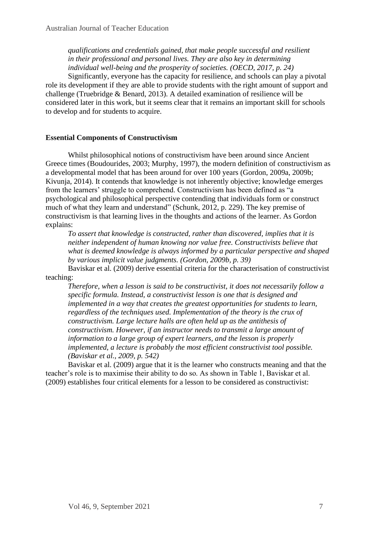*qualifications and credentials gained, that make people successful and resilient in their professional and personal lives. They are also key in determining individual well-being and the prosperity of societies. (OECD, 2017, p. 24)*

Significantly, everyone has the capacity for resilience, and schools can play a pivotal role its development if they are able to provide students with the right amount of support and challenge (Truebridge & Benard, 2013). A detailed examination of resilience will be considered later in this work, but it seems clear that it remains an important skill for schools to develop and for students to acquire.

# **Essential Components of Constructivism**

Whilst philosophical notions of constructivism have been around since Ancient Greece times (Boudourides, 2003; Murphy, 1997), the modern definition of constructivism as a developmental model that has been around for over 100 years (Gordon, 2009a, 2009b; Kivunja, 2014). It contends that knowledge is not inherently objective; knowledge emerges from the learners' struggle to comprehend. Constructivism has been defined as "a psychological and philosophical perspective contending that individuals form or construct much of what they learn and understand" (Schunk, 2012, p. 229). The key premise of constructivism is that learning lives in the thoughts and actions of the learner. As Gordon explains:

*To assert that knowledge is constructed, rather than discovered, implies that it is neither independent of human knowing nor value free. Constructivists believe that what is deemed knowledge is always informed by a particular perspective and shaped by various implicit value judgments. (Gordon, 2009b, p. 39)*

Baviskar et al. (2009) derive essential criteria for the characterisation of constructivist teaching:

*Therefore, when a lesson is said to be constructivist, it does not necessarily follow a specific formula. Instead, a constructivist lesson is one that is designed and implemented in a way that creates the greatest opportunities for students to learn, regardless of the techniques used. Implementation of the theory is the crux of constructivism. Large lecture halls are often held up as the antithesis of constructivism. However, if an instructor needs to transmit a large amount of information to a large group of expert learners, and the lesson is properly implemented, a lecture is probably the most efficient constructivist tool possible. (Baviskar et al., 2009, p. 542)*

Baviskar et al. (2009) argue that it is the learner who constructs meaning and that the teacher's role is to maximise their ability to do so. As shown in Table 1, Baviskar et al. (2009) establishes four critical elements for a lesson to be considered as constructivist: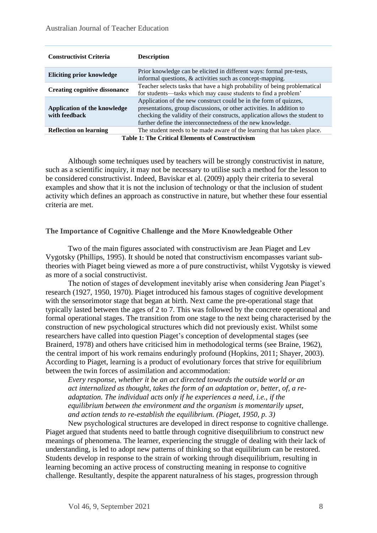| <b>Constructivist Criteria</b>                          | <b>Description</b>                                                                                                                                                                                                                                                                        |
|---------------------------------------------------------|-------------------------------------------------------------------------------------------------------------------------------------------------------------------------------------------------------------------------------------------------------------------------------------------|
| Eliciting prior knowledge                               | Prior knowledge can be elicited in different ways: formal pre-tests,<br>informal questions, & activities such as concept-mapping.                                                                                                                                                         |
| <b>Creating cognitive dissonance</b>                    | Teacher selects tasks that have a high probability of being problematical<br>for students—tasks which may cause students to find a problem'                                                                                                                                               |
| Application of the knowledge<br>with feedback           | Application of the new construct could be in the form of quizzes,<br>presentations, group discussions, or other activities. In addition to<br>checking the validity of their constructs, application allows the student to<br>further define the interconnectedness of the new knowledge. |
| <b>Reflection on learning</b>                           | The student needs to be made aware of the learning that has taken place.                                                                                                                                                                                                                  |
| <b>Table 1: The Critical Elements of Constructivism</b> |                                                                                                                                                                                                                                                                                           |

Although some techniques used by teachers will be strongly constructivist in nature, such as a scientific inquiry, it may not be necessary to utilise such a method for the lesson to be considered constructivist. Indeed, Baviskar et al. (2009) apply their criteria to several examples and show that it is not the inclusion of technology or that the inclusion of student activity which defines an approach as constructive in nature, but whether these four essential criteria are met.

## **The Importance of Cognitive Challenge and the More Knowledgeable Other**

Two of the main figures associated with constructivism are Jean Piaget and Lev Vygotsky (Phillips, 1995). It should be noted that constructivism encompasses variant subtheories with Piaget being viewed as more a of pure constructivist, whilst Vygotsky is viewed as more of a social constructivist.

The notion of stages of development inevitably arise when considering Jean Piaget's research (1927, 1950, 1970). Piaget introduced his famous stages of cognitive development with the sensorimotor stage that began at birth. Next came the pre-operational stage that typically lasted between the ages of 2 to 7. This was followed by the concrete operational and formal operational stages. The transition from one stage to the next being characterised by the construction of new psychological structures which did not previously exist. Whilst some researchers have called into question Piaget's conception of developmental stages (see Brainerd, 1978) and others have criticised him in methodological terms (see Braine, 1962), the central import of his work remains enduringly profound (Hopkins, 2011; Shayer, 2003). According to Piaget, learning is a product of evolutionary forces that strive for equilibrium between the twin forces of assimilation and accommodation:

*Every response, whether it be an act directed towards the outside world or an act internalized as thought, takes the form of an adaptation or, better, of, a readaptation. The individual acts only if he experiences a need, i.e., if the equilibrium between the environment and the organism is momentarily upset, and action tends to re-establish the equilibrium. (Piaget, 1950, p. 3)*

New psychological structures are developed in direct response to cognitive challenge. Piaget argued that students need to battle through cognitive disequilibrium to construct new meanings of phenomena. The learner, experiencing the struggle of dealing with their lack of understanding, is led to adopt new patterns of thinking so that equilibrium can be restored. Students develop in response to the strain of working through disequilibrium, resulting in learning becoming an active process of constructing meaning in response to cognitive challenge. Resultantly, despite the apparent naturalness of his stages, progression through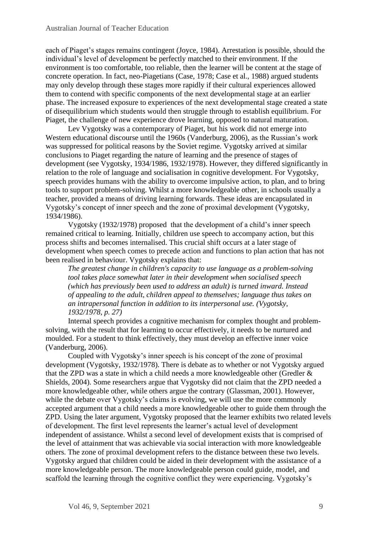each of Piaget's stages remains contingent (Joyce, 1984). Arrestation is possible, should the individual's level of development be perfectly matched to their environment. If the environment is too comfortable, too reliable, then the learner will be content at the stage of concrete operation. In fact, neo-Piagetians (Case, 1978; Case et al., 1988) argued students may only develop through these stages more rapidly if their cultural experiences allowed them to contend with specific components of the next developmental stage at an earlier phase. The increased exposure to experiences of the next developmental stage created a state of disequilibrium which students would then struggle through to establish equilibrium. For Piaget, the challenge of new experience drove learning, opposed to natural maturation.

Lev Vygotsky was a contemporary of Piaget, but his work did not emerge into Western educational discourse until the 1960s (Vanderburg, 2006), as the Russian's work was suppressed for political reasons by the Soviet regime. Vygotsky arrived at similar conclusions to Piaget regarding the nature of learning and the presence of stages of development (see Vygotsky, 1934/1986, 1932/1978). However, they differed significantly in relation to the role of language and socialisation in cognitive development. For Vygotsky, speech provides humans with the ability to overcome impulsive action, to plan, and to bring tools to support problem-solving. Whilst a more knowledgeable other, in schools usually a teacher, provided a means of driving learning forwards. These ideas are encapsulated in Vygotsky's concept of inner speech and the zone of proximal development (Vygotsky, 1934/1986).

Vygotsky (1932/1978) proposed that the development of a child's inner speech remained critical to learning. Initially, children use speech to accompany action, but this process shifts and becomes internalised. This crucial shift occurs at a later stage of development when speech comes to precede action and functions to plan action that has not been realised in behaviour. Vygotsky explains that:

*The greatest change in children's capacity to use language as a problem-solving tool takes place somewhat later in their development when socialised speech (which has previously been used to address an adult) is turned inward. Instead of appealing to the adult, children appeal to themselves; language thus takes on an intrapersonal function in addition to its interpersonal use. (Vygotsky, 1932/1978, p. 27)*

Internal speech provides a cognitive mechanism for complex thought and problemsolving, with the result that for learning to occur effectively, it needs to be nurtured and moulded. For a student to think effectively, they must develop an effective inner voice (Vanderburg, 2006).

Coupled with Vygotsky's inner speech is his concept of the zone of proximal development (Vygotsky, 1932/1978). There is debate as to whether or not Vygotsky argued that the ZPD was a state in which a child needs a more knowledgeable other (Gredler & Shields, 2004). Some researchers argue that Vygotsky did not claim that the ZPD needed a more knowledgeable other, while others argue the contrary (Glassman, 2001). However, while the debate over Vygotsky's claims is evolving, we will use the more commonly accepted argument that a child needs a more knowledgeable other to guide them through the ZPD. Using the later argument, Vygotsky proposed that the learner exhibits two related levels of development. The first level represents the learner's actual level of development independent of assistance. Whilst a second level of development exists that is comprised of the level of attainment that was achievable via social interaction with more knowledgeable others. The zone of proximal development refers to the distance between these two levels. Vygotsky argued that children could be aided in their development with the assistance of a more knowledgeable person. The more knowledgeable person could guide, model, and scaffold the learning through the cognitive conflict they were experiencing. Vygotsky's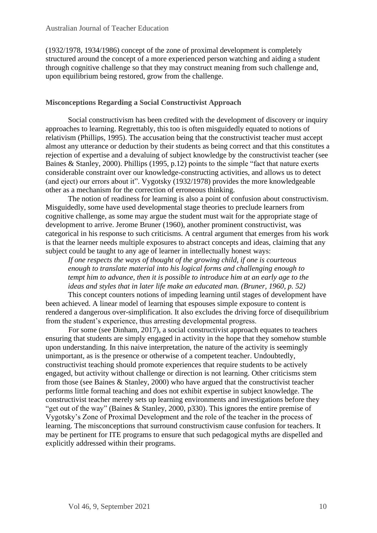(1932/1978, 1934/1986) concept of the zone of proximal development is completely structured around the concept of a more experienced person watching and aiding a student through cognitive challenge so that they may construct meaning from such challenge and, upon equilibrium being restored, grow from the challenge.

# **Misconceptions Regarding a Social Constructivist Approach**

Social constructivism has been credited with the development of discovery or inquiry approaches to learning. Regrettably, this too is often misguidedly equated to notions of relativism (Phillips, 1995). The accusation being that the constructivist teacher must accept almost any utterance or deduction by their students as being correct and that this constitutes a rejection of expertise and a devaluing of subject knowledge by the constructivist teacher (see Baines & Stanley, 2000). Phillips (1995, p.12) points to the simple "fact that nature exerts considerable constraint over our knowledge-constructing activities, and allows us to detect (and eject) our errors about it". Vygotsky (1932/1978) provides the more knowledgeable other as a mechanism for the correction of erroneous thinking.

The notion of readiness for learning is also a point of confusion about constructivism. Misguidedly, some have used developmental stage theories to preclude learners from cognitive challenge, as some may argue the student must wait for the appropriate stage of development to arrive. Jerome Bruner (1960), another prominent constructivist, was categorical in his response to such criticisms. A central argument that emerges from his work is that the learner needs multiple exposures to abstract concepts and ideas, claiming that any subject could be taught to any age of learner in intellectually honest ways:

*If one respects the ways of thought of the growing child, if one is courteous enough to translate material into his logical forms and challenging enough to tempt him to advance, then it is possible to introduce him at an early age to the ideas and styles that in later life make an educated man. (Bruner, 1960, p. 52)*

This concept counters notions of impeding learning until stages of development have been achieved. A linear model of learning that espouses simple exposure to content is rendered a dangerous over-simplification. It also excludes the driving force of disequilibrium from the student's experience, thus arresting developmental progress.

For some (see Dinham, 2017), a social constructivist approach equates to teachers ensuring that students are simply engaged in activity in the hope that they somehow stumble upon understanding. In this naive interpretation, the nature of the activity is seemingly unimportant, as is the presence or otherwise of a competent teacher. Undoubtedly, constructivist teaching should promote experiences that require students to be actively engaged, but activity without challenge or direction is not learning. Other criticisms stem from those (see Baines & Stanley, 2000) who have argued that the constructivist teacher performs little formal teaching and does not exhibit expertise in subject knowledge. The constructivist teacher merely sets up learning environments and investigations before they "get out of the way" (Baines & Stanley, 2000, p330). This ignores the entire premise of Vygotsky's Zone of Proximal Development and the role of the teacher in the process of learning. The misconceptions that surround constructivism cause confusion for teachers. It may be pertinent for ITE programs to ensure that such pedagogical myths are dispelled and explicitly addressed within their programs.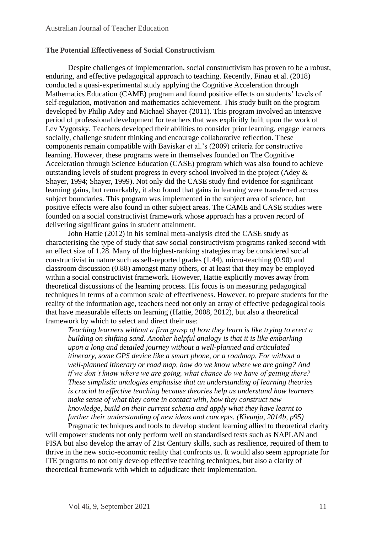# **The Potential Effectiveness of Social Constructivism**

Despite challenges of implementation, social constructivism has proven to be a robust, enduring, and effective pedagogical approach to teaching. Recently, Finau et al. (2018) conducted a quasi-experimental study applying the Cognitive Acceleration through Mathematics Education (CAME) program and found positive effects on students' levels of self-regulation, motivation and mathematics achievement. This study built on the program developed by Philip Adey and Michael Shayer (2011). This program involved an intensive period of professional development for teachers that was explicitly built upon the work of Lev Vygotsky. Teachers developed their abilities to consider prior learning, engage learners socially, challenge student thinking and encourage collaborative reflection. These components remain compatible with Baviskar et al.'s (2009) criteria for constructive learning. However, these programs were in themselves founded on The Cognitive Acceleration through Science Education (CASE) program which was also found to achieve outstanding levels of student progress in every school involved in the project (Adey & Shayer, 1994; Shayer, 1999). Not only did the CASE study find evidence for significant learning gains, but remarkably, it also found that gains in learning were transferred across subject boundaries. This program was implemented in the subject area of science, but positive effects were also found in other subject areas. The CAME and CASE studies were founded on a social constructivist framework whose approach has a proven record of delivering significant gains in student attainment.

John Hattie (2012) in his seminal meta-analysis cited the CASE study as characterising the type of study that saw social constructivism programs ranked second with an effect size of 1.28. Many of the highest-ranking strategies may be considered social constructivist in nature such as self-reported grades (1.44), micro-teaching (0.90) and classroom discussion (0.88) amongst many others, or at least that they may be employed within a social constructivist framework. However, Hattie explicitly moves away from theoretical discussions of the learning process. His focus is on measuring pedagogical techniques in terms of a common scale of effectiveness. However, to prepare students for the reality of the information age, teachers need not only an array of effective pedagogical tools that have measurable effects on learning (Hattie, 2008, 2012), but also a theoretical framework by which to select and direct their use:

*Teaching learners without a firm grasp of how they learn is like trying to erect a building on shifting sand. Another helpful analogy is that it is like embarking upon a long and detailed journey without a well-planned and articulated itinerary, some GPS device like a smart phone, or a roadmap. For without a well-planned itinerary or road map, how do we know where we are going? And if we don't know where we are going, what chance do we have of getting there? These simplistic analogies emphasise that an understanding of learning theories is crucial to effective teaching because theories help us understand how learners make sense of what they come in contact with, how they construct new knowledge, build on their current schema and apply what they have learnt to further their understanding of new ideas and concepts. (Kivunja, 2014b, p95)*

Pragmatic techniques and tools to develop student learning allied to theoretical clarity will empower students not only perform well on standardised tests such as NAPLAN and PISA but also develop the array of 21st Century skills, such as resilience, required of them to thrive in the new socio-economic reality that confronts us. It would also seem appropriate for ITE programs to not only develop effective teaching techniques, but also a clarity of theoretical framework with which to adjudicate their implementation.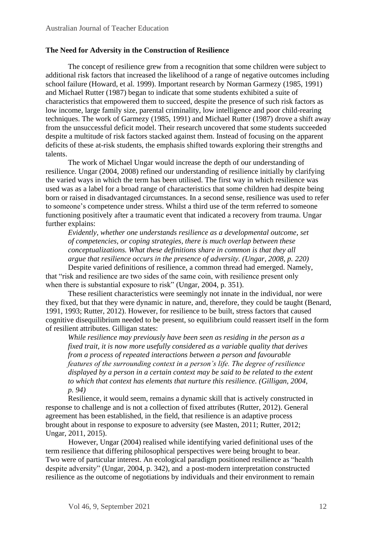# **The Need for Adversity in the Construction of Resilience**

The concept of resilience grew from a recognition that some children were subject to additional risk factors that increased the likelihood of a range of negative outcomes including school failure (Howard, et al. 1999). Important research by Norman Garmezy (1985, 1991) and Michael Rutter (1987) began to indicate that some students exhibited a suite of characteristics that empowered them to succeed, despite the presence of such risk factors as low income, large family size, parental criminality, low intelligence and poor child-rearing techniques. The work of Garmezy (1985, 1991) and Michael Rutter (1987) drove a shift away from the unsuccessful deficit model. Their research uncovered that some students succeeded despite a multitude of risk factors stacked against them. Instead of focusing on the apparent deficits of these at-risk students, the emphasis shifted towards exploring their strengths and talents.

The work of Michael Ungar would increase the depth of our understanding of resilience. Ungar (2004, 2008) refined our understanding of resilience initially by clarifying the varied ways in which the term has been utilised. The first way in which resilience was used was as a label for a broad range of characteristics that some children had despite being born or raised in disadvantaged circumstances. In a second sense, resilience was used to refer to someone's competence under stress. Whilst a third use of the term referred to someone functioning positively after a traumatic event that indicated a recovery from trauma. Ungar further explains:

*Evidently, whether one understands resilience as a developmental outcome, set of competencies, or coping strategies, there is much overlap between these conceptualizations. What these definitions share in common is that they all argue that resilience occurs in the presence of adversity. (Ungar, 2008, p. 220)*

Despite varied definitions of resilience, a common thread had emerged. Namely, that "risk and resilience are two sides of the same coin, with resilience present only when there is substantial exposure to risk" (Ungar, 2004, p. 351).

These resilient characteristics were seemingly not innate in the individual, nor were they fixed, but that they were dynamic in nature, and, therefore, they could be taught (Benard, 1991, 1993; Rutter, 2012). However, for resilience to be built, stress factors that caused cognitive disequilibrium needed to be present, so equilibrium could reassert itself in the form of resilient attributes. Gilligan states:

*While resilience may previously have been seen as residing in the person as a fixed trait, it is now more usefully considered as a variable quality that derives from a process of repeated interactions between a person and favourable features of the surrounding context in a person's life. The degree of resilience displayed by a person in a certain context may be said to be related to the extent to which that context has elements that nurture this resilience. (Gilligan, 2004, p. 94)*

Resilience, it would seem, remains a dynamic skill that is actively constructed in response to challenge and is not a collection of fixed attributes (Rutter, 2012). General agreement has been established, in the field, that resilience is an adaptive process brought about in response to exposure to adversity (see Masten, 2011; Rutter, 2012; Ungar, 2011, 2015).

However, Ungar (2004) realised while identifying varied definitional uses of the term resilience that differing philosophical perspectives were being brought to bear. Two were of particular interest. An ecological paradigm positioned resilience as "health despite adversity" (Ungar, 2004, p. 342), and a post-modern interpretation constructed resilience as the outcome of negotiations by individuals and their environment to remain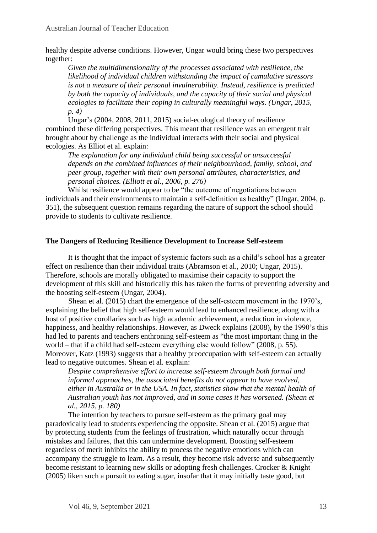healthy despite adverse conditions. However, Ungar would bring these two perspectives together:

*Given the multidimensionality of the processes associated with resilience, the likelihood of individual children withstanding the impact of cumulative stressors is not a measure of their personal invulnerability. Instead, resilience is predicted by both the capacity of individuals, and the capacity of their social and physical ecologies to facilitate their coping in culturally meaningful ways. (Ungar, 2015, p. 4)*

Ungar's (2004, 2008, 2011, 2015) social-ecological theory of resilience combined these differing perspectives. This meant that resilience was an emergent trait brought about by challenge as the individual interacts with their social and physical ecologies. As Elliot et al. explain:

*The explanation for any individual child being successful or unsuccessful depends on the combined influences of their neighbourhood, family, school, and peer group, together with their own personal attributes, characteristics, and personal choices. (Elliott et al., 2006, p. 276)*

Whilst resilience would appear to be "the outcome of negotiations between individuals and their environments to maintain a self-definition as healthy" (Ungar, 2004, p. 351), the subsequent question remains regarding the nature of support the school should provide to students to cultivate resilience.

# **The Dangers of Reducing Resilience Development to Increase Self-esteem**

It is thought that the impact of systemic factors such as a child's school has a greater effect on resilience than their individual traits (Abramson et al., 2010; Ungar, 2015). Therefore, schools are morally obligated to maximise their capacity to support the development of this skill and historically this has taken the forms of preventing adversity and the boosting self-esteem (Ungar, 2004).

Shean et al. (2015) chart the emergence of the self-esteem movement in the 1970's, explaining the belief that high self-esteem would lead to enhanced resilience, along with a host of positive corollaries such as high academic achievement, a reduction in violence, happiness, and healthy relationships. However, as Dweck explains (2008), by the 1990's this had led to parents and teachers enthroning self-esteem as "the most important thing in the world – that if a child had self-esteem everything else would follow" (2008, p. 55). Moreover, Katz (1993) suggests that a healthy preoccupation with self-esteem can actually lead to negative outcomes. Shean et al. explain:

*Despite comprehensive effort to increase self-esteem through both formal and informal approaches, the associated benefits do not appear to have evolved, either in Australia or in the USA. In fact, statistics show that the mental health of Australian youth has not improved, and in some cases it has worsened. (Shean et al., 2015, p. 180)*

The intention by teachers to pursue self-esteem as the primary goal may paradoxically lead to students experiencing the opposite. Shean et al. (2015) argue that by protecting students from the feelings of frustration, which naturally occur through mistakes and failures, that this can undermine development. Boosting self-esteem regardless of merit inhibits the ability to process the negative emotions which can accompany the struggle to learn. As a result, they become risk adverse and subsequently become resistant to learning new skills or adopting fresh challenges. Crocker & Knight (2005) liken such a pursuit to eating sugar, insofar that it may initially taste good, but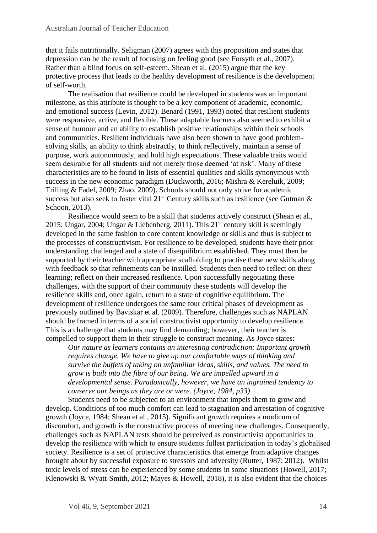that it fails nutritionally. Seligman (2007) agrees with this proposition and states that depression can be the result of focusing on feeling good (see Forsyth et al., 2007). Rather than a blind focus on self-esteem, Shean et al. (2015) argue that the key protective process that leads to the healthy development of resilience is the development of self-worth.

The realisation that resilience could be developed in students was an important milestone, as this attribute is thought to be a key component of academic, economic, and emotional success (Levin, 2012). Benard (1991, 1993) noted that resilient students were responsive, active, and flexible. These adaptable learners also seemed to exhibit a sense of humour and an ability to establish positive relationships within their schools and communities. Resilient individuals have also been shown to have good problemsolving skills, an ability to think abstractly, to think reflectively, maintain a sense of purpose, work autonomously, and hold high expectations. These valuable traits would seem desirable for all students and not merely those deemed 'at risk'. Many of these characteristics are to be found in lists of essential qualities and skills synonymous with success in the new economic paradigm (Duckworth, 2016; Mishra & Kereluik, 2009; Trilling & Fadel, 2009; Zhao, 2009). Schools should not only strive for academic success but also seek to foster vital  $21^{st}$  Century skills such as resilience (see Gutman  $\&$ Schoon, 2013).

Resilience would seem to be a skill that students actively construct (Shean et al., 2015; Ungar, 2004; Ungar & Liebenberg, 2011). This  $21<sup>st</sup>$  century skill is seemingly developed in the same fashion to core content knowledge or skills and thus is subject to the processes of constructivism. For resilience to be developed, students have their prior understanding challenged and a state of disequilibrium established. They must then be supported by their teacher with appropriate scaffolding to practise these new skills along with feedback so that refinements can be instilled. Students then need to reflect on their learning; reflect on their increased resilience. Upon successfully negotiating these challenges, with the support of their community these students will develop the resilience skills and, once again, return to a state of cognitive equilibrium. The development of resilience undergoes the same four critical phases of development as previously outlined by Baviskar et al. (2009). Therefore, challenges such as NAPLAN should be framed in terms of a social constructivist opportunity to develop resilience. This is a challenge that students may find demanding; however, their teacher is compelled to support them in their struggle to construct meaning. As Joyce states:

*Our nature as learners contains an interesting contradiction: Important growth requires change. We have to give up our comfortable ways of thinking and survive the buffets of taking on unfamiliar ideas, skills, and values. The need to grow is built into the fibre of our being. We are impelled upward in a developmental sense. Paradoxically, however, we have an ingrained tendency to conserve our beings as they are or were. (Joyce, 1984, p33)*

Students need to be subjected to an environment that impels them to grow and develop. Conditions of too much comfort can lead to stagnation and arrestation of cognitive growth (Joyce, 1984; Shean et al., 2015). Significant growth requires a modicum of discomfort, and growth is the constructive process of meeting new challenges. Consequently, challenges such as NAPLAN tests should be perceived as constructivist opportunities to develop the resilience with which to ensure students fullest participation in today's globalised society. Resilience is a set of protective characteristics that emerge from adaptive changes brought about by successful exposure to stressors and adversity (Rutter, 1987; 2012). Whilst toxic levels of stress can be experienced by some students in some situations (Howell, 2017; Klenowski & Wyatt-Smith, 2012; Mayes & Howell, 2018), it is also evident that the choices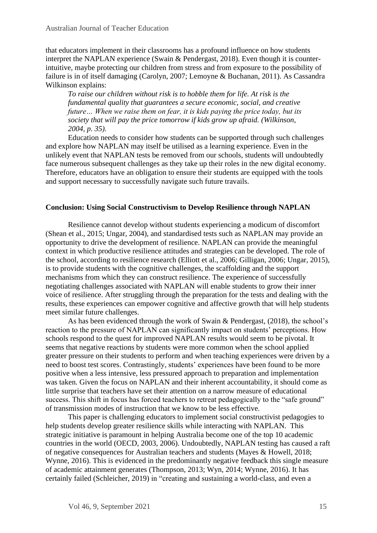that educators implement in their classrooms has a profound influence on how students interpret the NAPLAN experience (Swain & Pendergast, 2018). Even though it is counterintuitive, maybe protecting our children from stress and from exposure to the possibility of failure is in of itself damaging (Carolyn, 2007; Lemoyne & Buchanan, 2011). As Cassandra Wilkinson explains:

*To raise our children without risk is to hobble them for life. At risk is the fundamental quality that guarantees a secure economic, social, and creative future… When we raise them on fear, it is kids paying the price today, but its society that will pay the price tomorrow if kids grow up afraid. (Wilkinson, 2004, p. 35).*

Education needs to consider how students can be supported through such challenges and explore how NAPLAN may itself be utilised as a learning experience. Even in the unlikely event that NAPLAN tests be removed from our schools, students will undoubtedly face numerous subsequent challenges as they take up their roles in the new digital economy. Therefore, educators have an obligation to ensure their students are equipped with the tools and support necessary to successfully navigate such future travails.

## **Conclusion: Using Social Constructivism to Develop Resilience through NAPLAN**

Resilience cannot develop without students experiencing a modicum of discomfort (Shean et al., 2015; Ungar, 2004), and standardised tests such as NAPLAN may provide an opportunity to drive the development of resilience. NAPLAN can provide the meaningful context in which productive resilience attitudes and strategies can be developed. The role of the school, according to resilience research (Elliott et al., 2006; Gilligan, 2006; Ungar, 2015), is to provide students with the cognitive challenges, the scaffolding and the support mechanisms from which they can construct resilience. The experience of successfully negotiating challenges associated with NAPLAN will enable students to grow their inner voice of resilience. After struggling through the preparation for the tests and dealing with the results, these experiences can empower cognitive and affective growth that will help students meet similar future challenges.

As has been evidenced through the work of Swain & Pendergast, (2018), the school's reaction to the pressure of NAPLAN can significantly impact on students' perceptions. How schools respond to the quest for improved NAPLAN results would seem to be pivotal. It seems that negative reactions by students were more common when the school applied greater pressure on their students to perform and when teaching experiences were driven by a need to boost test scores. Contrastingly, students' experiences have been found to be more positive when a less intensive, less pressured approach to preparation and implementation was taken. Given the focus on NAPLAN and their inherent accountability, it should come as little surprise that teachers have set their attention on a narrow measure of educational success. This shift in focus has forced teachers to retreat pedagogically to the "safe ground" of transmission modes of instruction that we know to be less effective.

This paper is challenging educators to implement social constructivist pedagogies to help students develop greater resilience skills while interacting with NAPLAN. This strategic initiative is paramount in helping Australia become one of the top 10 academic countries in the world (OECD, 2003, 2006). Undoubtedly, NAPLAN testing has caused a raft of negative consequences for Australian teachers and students (Mayes & Howell, 2018; Wynne, 2016). This is evidenced in the predominantly negative feedback this single measure of academic attainment generates (Thompson, 2013; Wyn, 2014; Wynne, 2016). It has certainly failed (Schleicher, 2019) in "creating and sustaining a world-class, and even a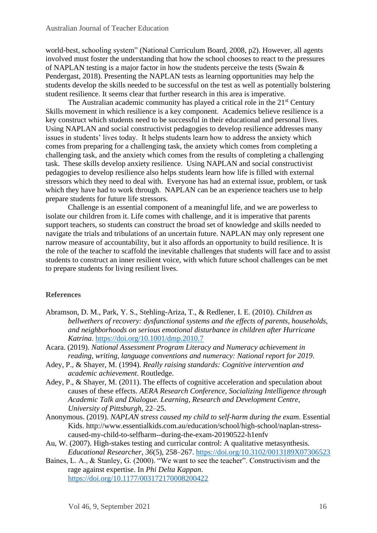world-best, schooling system" (National Curriculum Board, 2008, p2). However, all agents involved must foster the understanding that how the school chooses to react to the pressures of NAPLAN testing is a major factor in how the students perceive the tests (Swain & Pendergast, 2018). Presenting the NAPLAN tests as learning opportunities may help the students develop the skills needed to be successful on the test as well as potentially bolstering student resilience. It seems clear that further research in this area is imperative.

The Australian academic community has played a critical role in the  $21<sup>st</sup>$  Century Skills movement in which resilience is a key component. Academics believe resilience is a key construct which students need to be successful in their educational and personal lives. Using NAPLAN and social constructivist pedagogies to develop resilience addresses many issues in students' lives today. It helps students learn how to address the anxiety which comes from preparing for a challenging task, the anxiety which comes from completing a challenging task, and the anxiety which comes from the results of completing a challenging task. These skills develop anxiety resilience. Using NAPLAN and social constructivist pedagogies to develop resilience also helps students learn how life is filled with external stressors which they need to deal with. Everyone has had an external issue, problem, or task which they have had to work through. NAPLAN can be an experience teachers use to help prepare students for future life stressors.

Challenge is an essential component of a meaningful life, and we are powerless to isolate our children from it. Life comes with challenge, and it is imperative that parents support teachers, so students can construct the broad set of knowledge and skills needed to navigate the trials and tribulations of an uncertain future. NAPLAN may only represent one narrow measure of accountability, but it also affords an opportunity to build resilience. It is the role of the teacher to scaffold the inevitable challenges that students will face and to assist students to construct an inner resilient voice, with which future school challenges can be met to prepare students for living resilient lives.

## **References**

- Abramson, D. M., Park, Y. S., Stehling-Ariza, T., & Redlener, I. E. (2010). *Children as bellwethers of recovery: dysfunctional systems and the effects of parents, households, and neighborhoods on serious emotional disturbance in children after Hurricane Katrina*. <https://doi.org/10.1001/dmp.2010.7>
- Acara. (2019). *National Assessment Program Literacy and Numeracy achievement in reading, writing, language conventions and numeracy: National report for 2019*.
- Adey, P., & Shayer, M. (1994). *Really raising standards: Cognitive intervention and academic achievement*. Routledge.
- Adey, P., & Shayer, M. (2011). The effects of cognitive acceleration and speculation about causes of these effects. *AERA Research Conference, Socializing Intelligence through Academic Talk and Dialogue. Learning, Research and Development Centre, University of Pittsburgh*, 22–25.
- Anonymous. (2019). *NAPLAN stress caused my child to self-harm during the exam*. Essential Kids. http://www.essentialkids.com.au/education/school/high-school/naplan-stresscaused-my-child-to-selfharm--during-the-exam-20190522-h1enfv
- Au, W. (2007). High-stakes testing and curricular control: A qualitative metasynthesis. *Educational Researcher*, *36*(5), 258–267.<https://doi.org/10.3102/0013189X07306523>
- Baines, L. A., & Stanley, G. (2000). "We want to see the teacher". Constructivism and the rage against expertise. In *Phi Delta Kappan*. <https://doi.org/10.1177/003172170008200422>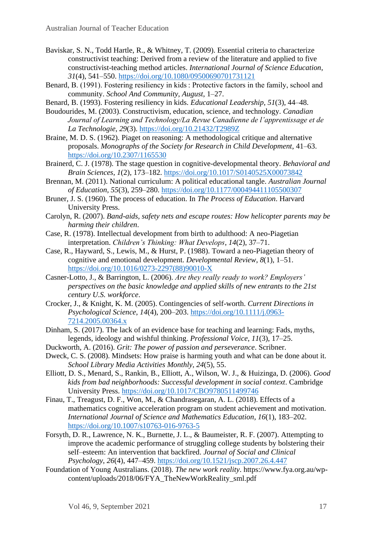- Baviskar, S. N., Todd Hartle, R., & Whitney, T. (2009). Essential criteria to characterize constructivist teaching: Derived from a review of the literature and applied to five constructivist-teaching method articles. *International Journal of Science Education*, *31*(4), 541–550.<https://doi.org/10.1080/09500690701731121>
- Benard, B. (1991). Fostering resiliency in kids : Protective factors in the family, school and community. *School And Community*, *August*, 1–27.
- Benard, B. (1993). Fostering resiliency in kids. *Educational Leadership*, *51*(3), 44–48.
- Boudourides, M. (2003). Constructivism, education, science, and technology. *Canadian Journal of Learning and Technology/La Revue Canadienne de l'apprentissage et de La Technologie*, *29*(3). <https://doi.org/10.21432/T2989Z>
- Braine, M. D. S. (1962). Piaget on reasoning: A methodological critique and alternative proposals. *Monographs of the Society for Research in Child Development*, 41–63. <https://doi.org/10.2307/1165530>
- Brainerd, C. J. (1978). The stage question in cognitive-developmental theory. *Behavioral and Brain Sciences*, *1*(2), 173–182. <https://doi.org/10.1017/S0140525X00073842>
- Brennan, M. (2011). National curriculum: A political educational tangle. *Australian Journal of Education*, *55*(3), 259–280.<https://doi.org/10.1177/000494411105500307>
- Bruner, J. S. (1960). The process of education. In *The Process of Education*. Harvard University Press.
- Carolyn, R. (2007). *Band-aids, safety nets and escape routes: How helicopter parents may be harming their children*.
- Case, R. (1978). Intellectual development from birth to adulthood: A neo-Piagetian interpretation. *Children's Thinking: What Develops*, *14*(2), 37–71.
- Case, R., Hayward, S., Lewis, M., & Hurst, P. (1988). Toward a neo-Piagetian theory of cognitive and emotional development. *Developmental Review*, *8*(1), 1–51. [https://doi.org/10.1016/0273-2297\(88\)90010-X](https://doi.org/10.1016/0273-2297(88)90010-X)
- Casner-Lotto, J., & Barrington, L. (2006). *Are they really ready to work? Employers' perspectives on the basic knowledge and applied skills of new entrants to the 21st century U.S. workforce*.
- Crocker, J., & Knight, K. M. (2005). Contingencies of self-worth. *Current Directions in Psychological Science*, *14*(4), 200–203. [https://doi.org/10.1111/j.0963-](https://doi.org/10.1111/j.0963-7214.2005.00364.x) [7214.2005.00364.x](https://doi.org/10.1111/j.0963-7214.2005.00364.x)
- Dinham, S. (2017). The lack of an evidence base for teaching and learning: Fads, myths, legends, ideology and wishful thinking. *Professional Voice*, *11*(3), 17–25.
- Duckworth, A. (2016). *Grit: The power of passion and perseverance*. Scribner.
- Dweck, C. S. (2008). Mindsets: How praise is harming youth and what can be done about it. *School Library Media Activities Monthly*, *24*(5), 55.
- Elliott, D. S., Menard, S., Rankin, B., Elliott, A., Wilson, W. J., & Huizinga, D. (2006). *Good kids from bad neighborhoods: Successful development in social context*. Cambridge University Press. <https://doi.org/10.1017/CBO9780511499746>
- Finau, T., Treagust, D. F., Won, M., & Chandrasegaran, A. L. (2018). Effects of a mathematics cognitive acceleration program on student achievement and motivation. *International Journal of Science and Mathematics Education*, *16*(1), 183–202. <https://doi.org/10.1007/s10763-016-9763-5>
- Forsyth, D. R., Lawrence, N. K., Burnette, J. L., & Baumeister, R. F. (2007). Attempting to improve the academic performance of struggling college students by bolstering their self–esteem: An intervention that backfired. *Journal of Social and Clinical Psychology*, *26*(4), 447–459. <https://doi.org/10.1521/jscp.2007.26.4.447>
- Foundation of Young Australians. (2018). *The new work reality*. https://www.fya.org.au/wpcontent/uploads/2018/06/FYA\_TheNewWorkReality\_sml.pdf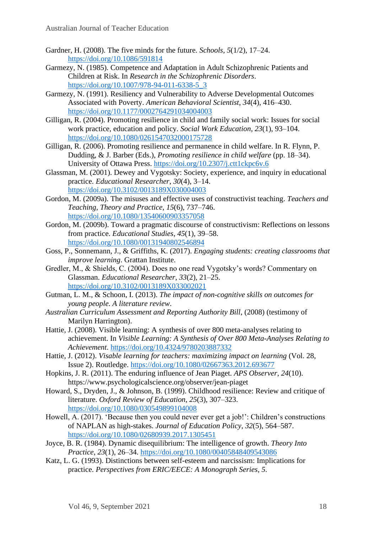- Gardner, H. (2008). The five minds for the future. *Schools*, *5*(1/2), 17–24. <https://doi.org/10.1086/591814>
- Garmezy, N. (1985). Competence and Adaptation in Adult Schizophrenic Patients and Children at Risk. In *Research in the Schizophrenic Disorders*. [https://doi.org/10.1007/978-94-011-6338-5\\_3](https://doi.org/10.1007/978-94-011-6338-5_3)
- Garmezy, N. (1991). Resiliency and Vulnerability to Adverse Developmental Outcomes Associated with Poverty. *American Behavioral Scientist*, *34*(4), 416–430. <https://doi.org/10.1177/0002764291034004003>
- Gilligan, R. (2004). Promoting resilience in child and family social work: Issues for social work practice, education and policy. *Social Work Education*, *23*(1), 93–104. <https://doi.org/10.1080/0261547032000175728>
- Gilligan, R. (2006). Promoting resilience and permanence in child welfare. In R. Flynn, P. Dudding, & J. Barber (Eds.), *Promoting resilience in child welfare* (pp. 18–34). University of Ottawa Press. <https://doi.org/10.2307/j.ctt1ckpc6v.6>
- Glassman, M. (2001). Dewey and Vygotsky: Society, experience, and inquiry in educational practice. *Educational Researcher*, *30*(4), 3–14. <https://doi.org/10.3102/0013189X030004003>
- Gordon, M. (2009a). The misuses and effective uses of constructivist teaching. *Teachers and Teaching, Theory and Practice*, *15*(6), 737–746. <https://doi.org/10.1080/13540600903357058>
- Gordon, M. (2009b). Toward a pragmatic discourse of constructivism: Reflections on lessons from practice. *Educational Studies*, *45*(1), 39–58. <https://doi.org/10.1080/00131940802546894>
- Goss, P., Sonnemann, J., & Griffiths, K. (2017). *Engaging students: creating classrooms that improve learning*. Grattan Institute.
- Gredler, M., & Shields, C. (2004). Does no one read Vygotsky's words? Commentary on Glassman. *Educational Researcher*, *33*(2), 21–25. <https://doi.org/10.3102/0013189X033002021>
- Gutman, L. M., & Schoon, I. (2013). *The impact of non-cognitive skills on outcomes for young people. A literature review*.
- *Australian Curriculum Assessment and Reporting Authority Bill*, (2008) (testimony of Marilyn Harrington).
- Hattie, J. (2008). Visible learning: A synthesis of over 800 meta-analyses relating to achievement. In *Visible Learning: A Synthesis of Over 800 Meta-Analyses Relating to Achievement*.<https://doi.org/10.4324/9780203887332>
- Hattie, J. (2012). *Visable learning for teachers: maximizing impact on learning* (Vol. 28, Issue 2). Routledge.<https://doi.org/10.1080/02667363.2012.693677>
- Hopkins, J. R. (2011). The enduring influence of Jean Piaget. *APS Observer*, *24*(10). https://www.psychologicalscience.org/observer/jean-piaget
- Howard, S., Dryden, J., & Johnson, B. (1999). Childhood resilience: Review and critique of literature. *Oxford Review of Education*, *25*(3), 307–323. <https://doi.org/10.1080/030549899104008>
- Howell, A. (2017). 'Because then you could never ever get a job!': Children's constructions of NAPLAN as high-stakes. *Journal of Education Policy*, *32*(5), 564–587. <https://doi.org/10.1080/02680939.2017.1305451>
- Joyce, B. R. (1984). Dynamic disequilibrium: The intelligence of growth. *Theory Into Practice*, *23*(1), 26–34.<https://doi.org/10.1080/00405848409543086>
- Katz, L. G. (1993). Distinctions between self-esteem and narcissism: Implications for practice. *Perspectives from ERIC/EECE: A Monograph Series*, *5*.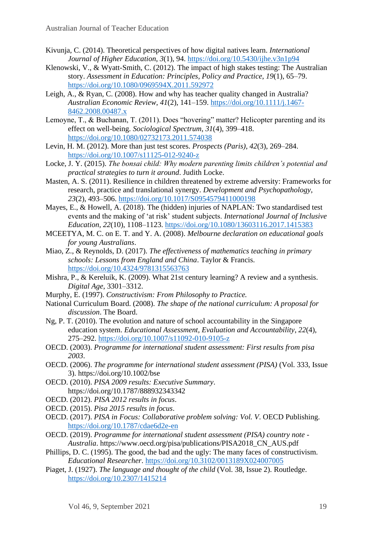- Kivunja, C. (2014). Theoretical perspectives of how digital natives learn. *International Journal of Higher Education*, *3*(1), 94. <https://doi.org/10.5430/ijhe.v3n1p94>
- Klenowski, V., & Wyatt-Smith, C. (2012). The impact of high stakes testing: The Australian story. *Assessment in Education: Principles, Policy and Practice*, *19*(1), 65–79. <https://doi.org/10.1080/0969594X.2011.592972>
- Leigh, A., & Ryan, C. (2008). How and why has teacher quality changed in Australia? *Australian Economic Review*, *41*(2), 141–159. [https://doi.org/10.1111/j.1467-](https://doi.org/10.1111/j.1467-8462.2008.00487.x) [8462.2008.00487.x](https://doi.org/10.1111/j.1467-8462.2008.00487.x)
- Lemoyne, T., & Buchanan, T. (2011). Does "hovering" matter? Helicopter parenting and its effect on well-being. *Sociological Spectrum*, *31*(4), 399–418. <https://doi.org/10.1080/02732173.2011.574038>
- Levin, H. M. (2012). More than just test scores. *Prospects (Paris)*, *42*(3), 269–284. <https://doi.org/10.1007/s11125-012-9240-z>
- Locke, J. Y. (2015). *The bonsai child: Why modern parenting limits children's potential and practical strategies to turn it around*. Judith Locke.
- Masten, A. S. (2011). Resilience in children threatened by extreme adversity: Frameworks for research, practice and translational synergy. *Development and Psychopathology*, *23*(2), 493–506. <https://doi.org/10.1017/S0954579411000198>
- Mayes, E., & Howell, A. (2018). The (hidden) injuries of NAPLAN: Two standardised test events and the making of 'at risk' student subjects. *International Journal of Inclusive Education*, *22*(10), 1108–1123.<https://doi.org/10.1080/13603116.2017.1415383>
- MCEETYA, M. C. on E. T. and Y. A. (2008). *Melbourne declaration on educational goals for young Australians*.
- Miao, Z., & Reynolds, D. (2017). *The effectiveness of mathematics teaching in primary schools: Lessons from England and China*. Taylor & Francis. <https://doi.org/10.4324/9781315563763>
- Mishra, P., & Kereluik, K. (2009). What 21st century learning? A review and a synthesis. *Digital Age*, 3301–3312.
- Murphy, E. (1997). *Constructivism: From Philosophy to Practice.*
- National Curriculum Board. (2008). *The shape of the national curriculum: A proposal for discussion*. The Board.
- Ng, P. T. (2010). The evolution and nature of school accountability in the Singapore education system. *Educational Assessment, Evaluation and Accountability*, *22*(4), 275–292.<https://doi.org/10.1007/s11092-010-9105-z>
- OECD. (2003). *Programme for international student assessment: First results from pisa 2003*.
- OECD. (2006). *The programme for international student assessment (PISA)* (Vol. 333, Issue 3). https://doi.org/10.1002/bse
- OECD. (2010). *PISA 2009 results: Executive Summary*. https://doi.org/10.1787/888932343342
- OECD. (2012). *PISA 2012 results in focus*.
- OECD. (2015). *Pisa 2015 results in focus*.
- OECD. (2017). *PISA in Focus: Collaborative problem solving: Vol. V*. OECD Publishing. <https://doi.org/10.1787/cdae6d2e-en>
- OECD. (2019). *Programme for international student assessment (PISA) country note - Australia*. https://www.oecd.org/pisa/publications/PISA2018\_CN\_AUS.pdf
- Phillips, D. C. (1995). The good, the bad and the ugly: The many faces of constructivism. *Educational Researcher*.<https://doi.org/10.3102/0013189X024007005>
- Piaget, J. (1927). *The language and thought of the child* (Vol. 38, Issue 2). Routledge. <https://doi.org/10.2307/1415214>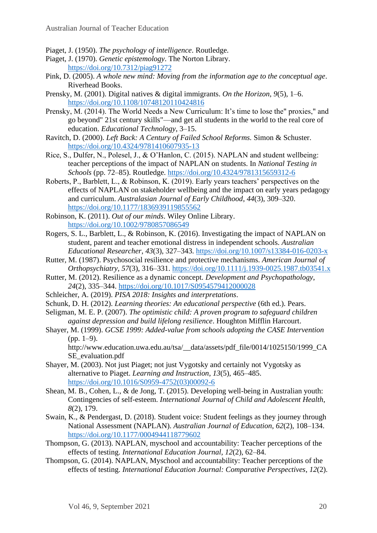Piaget, J. (1950). *The psychology of intelligence*. Routledge.

- Piaget, J. (1970). *Genetic epistemology*. The Norton Library. <https://doi.org/10.7312/piag91272>
- Pink, D. (2005). *A whole new mind: Moving from the information age to the conceptual age*. Riverhead Books.
- Prensky, M. (2001). Digital natives & digital immigrants. *On the Horizon*, *9*(5), 1–6. <https://doi.org/10.1108/10748120110424816>
- Prensky, M. (2014). The World Needs a New Curriculum: It's time to lose the" proxies," and go beyond" 21st century skills"—and get all students in the world to the real core of education. *Educational Technology*, 3–15.
- Ravitch, D. (2000). *Left Back: A Century of Failed School Reforms.* Simon & Schuster. <https://doi.org/10.4324/9781410607935-13>
- Rice, S., Dulfer, N., Polesel, J., & O'Hanlon, C. (2015). NAPLAN and student wellbeing: teacher perceptions of the impact of NAPLAN on students. In *National Testing in Schools* (pp. 72–85). Routledge. <https://doi.org/10.4324/9781315659312-6>
- Roberts, P., Barblett, L., & Robinson, K. (2019). Early years teachers' perspectives on the effects of NAPLAN on stakeholder wellbeing and the impact on early years pedagogy and curriculum. *Australasian Journal of Early Childhood*, *44*(3), 309–320. <https://doi.org/10.1177/1836939119855562>
- Robinson, K. (2011). *Out of our minds*. Wiley Online Library. <https://doi.org/10.1002/9780857086549>
- Rogers, S. L., Barblett, L., & Robinson, K. (2016). Investigating the impact of NAPLAN on student, parent and teacher emotional distress in independent schools. *Australian Educational Researcher*, *43*(3), 327–343. <https://doi.org/10.1007/s13384-016-0203-x>
- Rutter, M. (1987). Psychosocial resilience and protective mechanisms. *American Journal of Orthopsychiatry*, *57*(3), 316–331. <https://doi.org/10.1111/j.1939-0025.1987.tb03541.x>
- Rutter, M. (2012). Resilience as a dynamic concept. *Development and Psychopathology*, *24*(2), 335–344.<https://doi.org/10.1017/S0954579412000028>
- Schleicher, A. (2019). *PISA 2018: Insights and interpretations*.
- Schunk, D. H. (2012). *Learning theories: An educational perspective* (6th ed.). Pears.
- Seligman, M. E. P. (2007). *The optimistic child: A proven program to safeguard children against depression and build lifelong resilience*. Houghton Mifflin Harcourt.
- Shayer, M. (1999). *GCSE 1999: Added-value from schools adopting the CASE Intervention*  $(pp. 1-9)$ .

http://www.education.uwa.edu.au/tsa/\_\_data/assets/pdf\_file/0014/1025150/1999\_CA SE\_evaluation.pdf

- Shayer, M. (2003). Not just Piaget; not just Vygotsky and certainly not Vygotsky as alternative to Piaget. *Learning and Instruction*, *13*(5), 465–485. [https://doi.org/10.1016/S0959-4752\(03\)00092-6](https://doi.org/10.1016/S0959-4752(03)00092-6)
- Shean, M. B., Cohen, L., & de Jong, T. (2015). Developing well-being in Australian youth: Contingencies of self-esteem. *International Journal of Child and Adolescent Health*, *8*(2), 179.
- Swain, K., & Pendergast, D. (2018). Student voice: Student feelings as they journey through National Assessment (NAPLAN). *Australian Journal of Education*, *62*(2), 108–134. <https://doi.org/10.1177/0004944118779602>
- Thompson, G. (2013). NAPLAN, myschool and accountability: Teacher perceptions of the effects of testing. *International Education Journal*, *12*(2), 62–84.
- Thompson, G. (2014). NAPLAN, Myschool and accountability: Teacher perceptions of the effects of testing. *International Education Journal: Comparative Perspectives*, *12*(2).